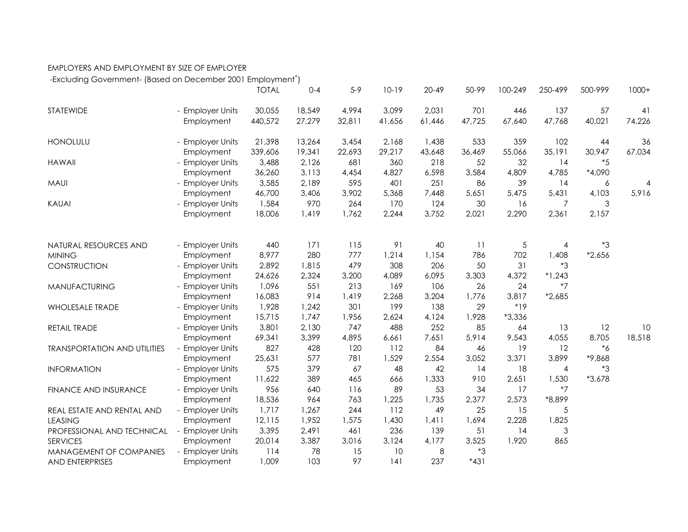## EMPLOYERS AND EMPLOYMENT BY SIZE OF EMPLOYER

-Excluding Government- (Based on December 2001 Employment<sup>+</sup>)

|                                     |                       | <b>TOTAL</b> | $0 - 4$    | $5-9$      | $10-19$      | $20 - 49$   | 50-99     | 100-249     | 250-499          | 500-999            | $1000+$ |
|-------------------------------------|-----------------------|--------------|------------|------------|--------------|-------------|-----------|-------------|------------------|--------------------|---------|
| STATEWIDE                           | - Employer Units      | 30,055       | 18,549     | 4,994      | 3,099        | 2,031       | 701       | 446         | 137              | 57                 | 41      |
|                                     | Employment            | 440,572      | 27,279     | 32,811     | 41,656       | 61,446      | 47,725    | 67,640      | 47,768           | 40,021             | 74,226  |
| <b>HONOLULU</b>                     | - Employer Units      | 21,398       | 13,264     | 3,454      | 2,168        | 1,438       | 533       | 359         | 102              | 44                 | 36      |
|                                     | Employment            | 339,606      | 19,341     | 22,693     | 29,217       | 43,648      | 36,469    | 55,066      | 35,191           | 30,947             | 67,034  |
| <b>HAWAII</b>                       | - Employer Units      | 3,488        | 2,126      | 681        | 360          | 218         | 52        | 32          | 14               | $*5$               |         |
|                                     | Employment            | 36,260       | 3,113      | 4,454      | 4,827        | 6,598       | 3,584     | 4,809       | 4,785            | *4,090             |         |
| <b>MAUI</b>                         | - Employer Units      | 3,585        | 2,189      | 595        | 401          | 251         | 86        | 39          | 14               | 6                  | 4       |
|                                     | Employment            | 46,700       | 3,406      | 3,902      | 5,368        | 7,448       | 5,651     | 5,475       | 5,431            | 4,103              | 5,916   |
| <b>KAUAI</b>                        | - Employer Units      | 1,584        | 970        | 264        | 170          | 124         | 30        | 16          | 7                | 3                  |         |
|                                     | Employment            | 18,006       | 1,419      | 1,762      | 2,244        | 3,752       | 2,021     | 2,290       | 2,361            | 2,157              |         |
|                                     |                       |              |            |            |              |             |           |             |                  |                    |         |
| NATURAL RESOURCES AND               | - Employer Units      | 440<br>8,977 | 171<br>280 | 115<br>777 | 91           | 40<br>1,154 | 11<br>786 | $\sqrt{5}$  | 4                | $3^*3$<br>$*2,656$ |         |
| <b>MINING</b>                       | Employment            |              |            | 479        | 1,214<br>308 | 206         | 50        | 702<br>31   | 1,408<br>$*3$    |                    |         |
| CONSTRUCTION                        | - Employer Units      | 2,892        | 1,815      |            |              |             |           |             |                  |                    |         |
|                                     | Employment            | 24,626       | 2,324      | 3,200      | 4,089<br>169 | 6,095       | 3,303     | 4,372<br>24 | $*1,243$<br>$*7$ |                    |         |
| MANUFACTURING                       | - Employer Units      | 1,096        | 551        | 213        |              | 106         | 26        |             |                  |                    |         |
|                                     | Employment            | 16,083       | 914        | 1,419      | 2,268        | 3,204       | 1,776     | 3,817       | $*2,685$         |                    |         |
| <b>WHOLESALE TRADE</b>              | - Employer Units      | 1,928        | 1,242      | 301        | 199          | 138         | 29        | $*19$       |                  |                    |         |
|                                     | Employment            | 15,715       | 1,747      | 1,956      | 2,624        | 4,124       | 1,928     | $*3,336$    |                  |                    |         |
| RETAIL TRADE                        | - Employer Units      | 3,801        | 2,130      | 747        | 488          | 252         | 85        | 64          | 13               | 12                 | 10      |
|                                     | Employment            | 69,341       | 3,399      | 4,895      | 6,661        | 7,651       | 5,914     | 9,543       | 4,055            | 8,705              | 18,518  |
| <b>TRANSPORTATION AND UTILITIES</b> | - Employer Units      | 827          | 428        | 120        | 112          | 84          | 46        | 19          | 12               | $^*6$              |         |
|                                     | Employment            | 25,631       | 577        | 781        | 1,529        | 2,554       | 3,052     | 3,371       | 3,899            | *9,868             |         |
| <b>INFORMATION</b>                  | - Employer Units      | 575          | 379        | 67         | 48           | 42          | 14        | 18          | 4                | $^*3$              |         |
|                                     | Employment            | 11,622       | 389        | 465        | 666          | 1,333       | 910       | 2,651       | 1,530            | $*3,678$           |         |
| FINANCE AND INSURANCE               | - Employer Units      | 956          | 640        | 116        | 89           | 53          | 34        | 17          | $*7$             |                    |         |
|                                     | Employment            | 18,536       | 964        | 763        | 1,225        | 1,735       | 2,377     | 2,573       | *8,899           |                    |         |
| REAL ESTATE AND RENTAL AND          | - Employer Units      | 1,717        | 1,267      | 244        | 112          | 49          | 25        | 15          | 5                |                    |         |
| <b>LEASING</b>                      | Employment            | 12,115       | 1,952      | 1,575      | 1,430        | 1,411       | 1,694     | 2,228       | 1,825            |                    |         |
| PROFESSIONAL AND TECHNICAL          | <b>Employer Units</b> | 3,395        | 2,491      | 461        | 236          | 139         | 51        | 14          | 3                |                    |         |
| <b>SERVICES</b>                     | Employment            | 20,014       | 3,387      | 3,016      | 3,124        | 4,177       | 3,525     | 1,920       | 865              |                    |         |
| MANAGEMENT OF COMPANIES             | - Employer Units      | 114          | 78         | 15         | 10           | 8           | $^*3$     |             |                  |                    |         |
| AND ENTERPRISES                     | Employment            | 1,009        | 103        | 97         | 141          | 237         | $*431$    |             |                  |                    |         |